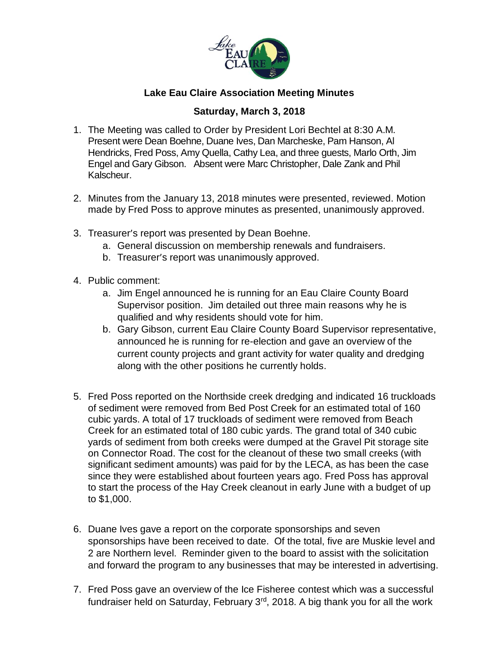

## **Lake Eau Claire Association Meeting Minutes**

## **Saturday, March 3, 2018**

- 1. The Meeting was called to Order by President Lori Bechtel at 8:30 A.M. Present were Dean Boehne, Duane Ives, Dan Marcheske, Pam Hanson, Al Hendricks, Fred Poss, Amy Quella, Cathy Lea, and three guests, Marlo Orth, Jim Engel and Gary Gibson. Absent were Marc Christopher, Dale Zank and Phil Kalscheur.
- 2. Minutes from the January 13, 2018 minutes were presented, reviewed. Motion made by Fred Poss to approve minutes as presented, unanimously approved.
- 3. Treasurer's report was presented by Dean Boehne.
	- a. General discussion on membership renewals and fundraisers.
	- b. Treasurer's report was unanimously approved.
- 4. Public comment:
	- a. Jim Engel announced he is running for an Eau Claire County Board Supervisor position. Jim detailed out three main reasons why he is qualified and why residents should vote for him.
	- b. Gary Gibson, current Eau Claire County Board Supervisor representative, announced he is running for re-election and gave an overview of the current county projects and grant activity for water quality and dredging along with the other positions he currently holds.
- 5. Fred Poss reported on the Northside creek dredging and indicated 16 truckloads of sediment were removed from Bed Post Creek for an estimated total of 160 cubic yards. A total of 17 truckloads of sediment were removed from Beach Creek for an estimated total of 180 cubic yards. The grand total of 340 cubic yards of sediment from both creeks were dumped at the Gravel Pit storage site on Connector Road. The cost for the cleanout of these two small creeks (with significant sediment amounts) was paid for by the LECA, as has been the case since they were established about fourteen years ago. Fred Poss has approval to start the process of the Hay Creek cleanout in early June with a budget of up to \$1,000.
- 6. Duane Ives gave a report on the corporate sponsorships and seven sponsorships have been received to date. Of the total, five are Muskie level and 2 are Northern level. Reminder given to the board to assist with the solicitation and forward the program to any businesses that may be interested in advertising.
- 7. Fred Poss gave an overview of the Ice Fisheree contest which was a successful fundraiser held on Saturday, February  $3<sup>rd</sup>$ , 2018. A big thank you for all the work